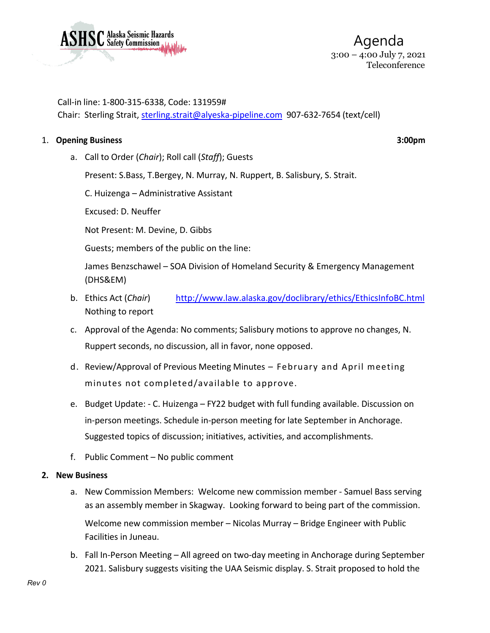

Call-in line: 1-800-315-6338, Code: 131959# Chair: Sterling Strait, [sterling.strait@alyeska-pipeline.com](mailto:sterling.strait@alyeska-pipeline.com) 907-632-7654 (text/cell)

### 1. **Opening Business 3:00pm**

a. Call to Order (*Chair*); Roll call (*Staff*); Guests

Present: S.Bass, T.Bergey, N. Murray, N. Ruppert, B. Salisbury, S. Strait.

C. Huizenga – Administrative Assistant

Excused: D. Neuffer

Not Present: M. Devine, D. Gibbs

Guests; members of the public on the line:

James Benzschawel – SOA Division of Homeland Security & Emergency Management (DHS&EM)

- b. Ethics Act (*Chair*) <http://www.law.alaska.gov/doclibrary/ethics/EthicsInfoBC.html> Nothing to report
- c. Approval of the Agenda: No comments; Salisbury motions to approve no changes, N. Ruppert seconds, no discussion, all in favor, none opposed.
- d. Review/Approval of Previous Meeting Minutes February and April meeting minutes not completed/available to approve.
- e. Budget Update: C. Huizenga FY22 budget with full funding available. Discussion on in-person meetings. Schedule in-person meeting for late September in Anchorage. Suggested topics of discussion; initiatives, activities, and accomplishments.
- f. Public Comment No public comment

### **2. New Business**

- a. New Commission Members: Welcome new commission member Samuel Bass serving as an assembly member in Skagway. Looking forward to being part of the commission. Welcome new commission member – Nicolas Murray – Bridge Engineer with Public Facilities in Juneau.
- b. Fall In-Person Meeting All agreed on two-day meeting in Anchorage during September 2021. Salisbury suggests visiting the UAA Seismic display. S. Strait proposed to hold the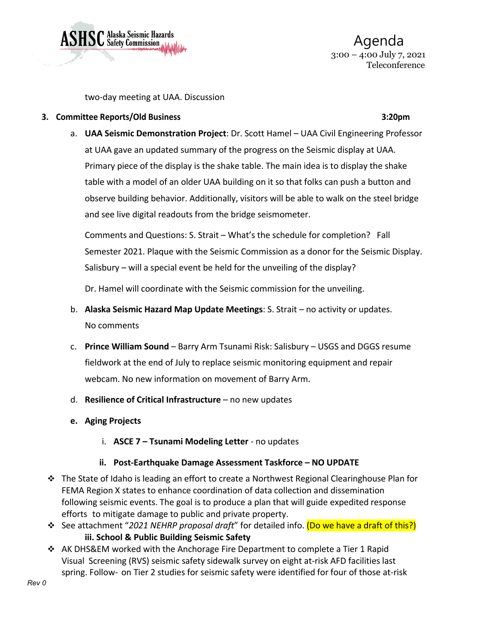

 Agenda 3:00 – 4:00 July 7, 2021 Teleconference

two-day meeting at UAA. Discussion

### **3. Committee Reports/Old Business 3:20pm**

# a. **UAA Seismic Demonstration Project**: Dr. Scott Hamel – UAA Civil Engineering Professor at UAA gave an updated summary of the progress on the Seismic display at UAA. Primary piece of the display is the shake table. The main idea is to display the shake table with a model of an older UAA building on it so that folks can push a button and observe building behavior. Additionally, visitors will be able to walk on the steel bridge and see live digital readouts from the bridge seismometer.

Comments and Questions: S. Strait – What's the schedule for completion? Fall Semester 2021. Plaque with the Seismic Commission as a donor for the Seismic Display. Salisbury – will a special event be held for the unveiling of the display?

Dr. Hamel will coordinate with the Seismic commission for the unveiling.

- b. **Alaska Seismic Hazard Map Update Meetings**: S. Strait no activity or updates. No comments
- c. **Prince William Sound** Barry Arm Tsunami Risk: Salisbury USGS and DGGS resume fieldwork at the end of July to replace seismic monitoring equipment and repair webcam. No new information on movement of Barry Arm.
- d. **Resilience of Critical Infrastructure** no new updates
- **e. Aging Projects**
	- i. **ASCE 7 – Tsunami Modeling Letter** no updates

# **ii. Post-Earthquake Damage Assessment Taskforce – NO UPDATE**

- The State of Idaho is leading an effort to create a Northwest Regional Clearinghouse Plan for FEMA Region X states to enhance coordination of data collection and dissemination following seismic events. The goal is to produce a plan that will guide expedited response efforts to mitigate damage to public and private property.
- See attachment "*2021 NEHRP proposal draft*" for detailed info. (Do we have a draft of this?) **iii. School & Public Building Seismic Safety**
- AK DHS&EM worked with the Anchorage Fire Department to complete a Tier 1 Rapid Visual Screening (RVS) seismic safety sidewalk survey on eight at-risk AFD facilities last spring. Follow- on Tier 2 studies for seismic safety were identified for four of those at-risk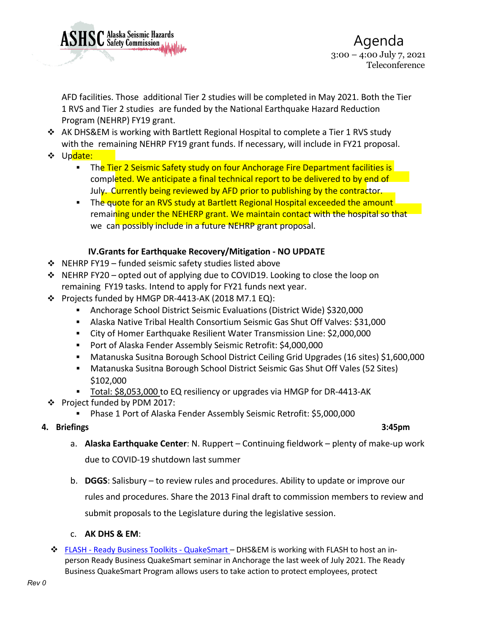

AFD facilities. Those additional Tier 2 studies will be completed in May 2021. Both the Tier 1 RVS and Tier 2 studies are funded by the National Earthquake Hazard Reduction Program (NEHRP) FY19 grant.

- $\div$  AK DHS&EM is working with Bartlett Regional Hospital to complete a Tier 1 RVS study with the remaining NEHRP FY19 grant funds. If necessary, will include in FY21 proposal.
- ❖ Update:
	- The Tier 2 Seismic Safety study on four Anchorage Fire Department facilities is completed. We anticipate a final technical report to be delivered to by end of July. Currently being reviewed by AFD prior to publishing by the contractor.
	- The quote for an RVS study at Bartlett Regional Hospital exceeded the amount remaining under the NEHERP grant. We maintain contact with the hospital so that we can possibly include in a future NEHRP grant proposal.

# **IV.Grants for Earthquake Recovery/Mitigation - NO UPDATE**

- $\div$  NEHRP FY19 funded seismic safety studies listed above
- $\div$  NEHRP FY20 opted out of applying due to COVID19. Looking to close the loop on remaining FY19 tasks. Intend to apply for FY21 funds next year.
- Projects funded by HMGP DR-4413-AK (2018 M7.1 EQ):
	- Anchorage School District Seismic Evaluations (District Wide) \$320,000
	- Alaska Native Tribal Health Consortium Seismic Gas Shut Off Valves: \$31,000
	- City of Homer Earthquake Resilient Water Transmission Line: \$2,000,000
	- Port of Alaska Fender Assembly Seismic Retrofit: \$4,000,000
	- Matanuska Susitna Borough School District Ceiling Grid Upgrades (16 sites) \$1,600,000
	- Matanuska Susitna Borough School District Seismic Gas Shut Off Vales (52 Sites) \$102,000
	- Total: \$8,053,000 to EQ resiliency or upgrades via HMGP for DR-4413-AK
- Project funded by PDM 2017:
	- Phase 1 Port of Alaska Fender Assembly Seismic Retrofit: \$5,000,000

# **4. Briefings 3:45pm**

- a. **Alaska Earthquake Center**: N. Ruppert Continuing fieldwork plenty of make-up work due to COVID-19 shutdown last summer
- b. **DGGS**: Salisbury to review rules and procedures. Ability to update or improve our rules and procedures. Share the 2013 Final draft to commission members to review and submit proposals to the Legislature during the legislative session.
- c. **AK DHS & EM**:
- **₺ FLASH Ready Business Toolkits [QuakeSmart](https://flash.org/readybusiness/quake_smart.php)** DHS&EM is working with FLASH to host an inperson Ready Business QuakeSmart seminar in Anchorage the last week of July 2021. The Ready Business QuakeSmart Program allows users to take action to protect employees, protect